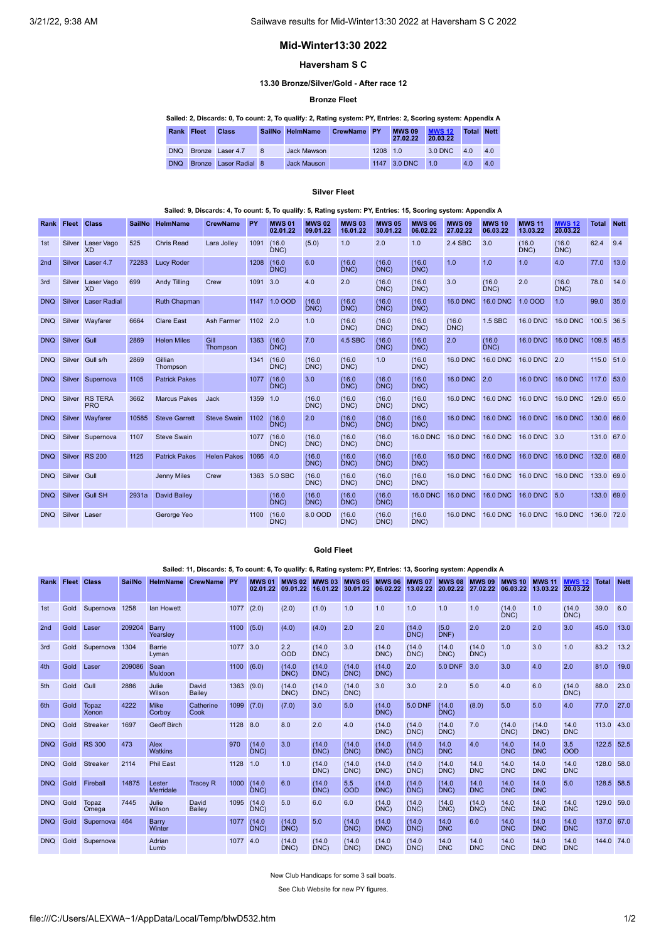# **Mid-Winter13:30 2022**

## **Haversham S C**

# **13.30 Bronze/Silver/Gold - After race 12**

# **Bronze Fleet**

|  |  | Sailed: 2, Discards: 0, To count: 2, To qualify: 2, Rating system: PY, Entries: 2, Scoring system: Appendix A |  |                                                                                                                 |  |
|--|--|---------------------------------------------------------------------------------------------------------------|--|-----------------------------------------------------------------------------------------------------------------|--|
|  |  |                                                                                                               |  | and the second contract of the second contract of the second contract of the second second second second second |  |

| Rank Fleet | <b>Class</b>          | SailNo HelmName | CrewName PY |          | <b>MWS 09</b><br>27.02.22 | <b>MWS 12</b><br>20.03.22 | Total | <b>Nett</b> |
|------------|-----------------------|-----------------|-------------|----------|---------------------------|---------------------------|-------|-------------|
|            | DNQ Bronze Laser 4.7  | Jack Mawson     |             | 1208 1.0 |                           | 3.0 DNC                   | 4.0   | 4.0         |
| <b>DNO</b> | Bronze Laser Radial 8 | Jack Mauson     |             |          | 1147 3.0 DNC 1.0          |                           | 4.0   | 4.0         |

## **Silver Fleet**

## Sailed: 9, Discards: 4, To count: 5, To qualify: 5, Rating system: PY, Entries: 15, Scoring system: Appendix A

| Rank       | <b>Fleet Class</b> |                                | <b>SailNo</b> | <b>HelmName</b>      | <b>CrewName</b>    | <b>PY</b>  | <b>MWS 01</b><br>02.01.22 | <b>MWS 02</b><br>09.01.22 | <b>MWS03</b><br>16.01.22 | <b>MWS 05</b><br>30.01.22 | <b>MWS 06</b><br>06.02.22 | <b>MWS09</b><br>27.02.22 | <b>MWS 10</b><br>06.03.22 | <b>MWS 11</b><br>13.03.22 | <b>MWS 12</b><br>20.03.22 | <b>Total</b> | <b>Nett</b> |
|------------|--------------------|--------------------------------|---------------|----------------------|--------------------|------------|---------------------------|---------------------------|--------------------------|---------------------------|---------------------------|--------------------------|---------------------------|---------------------------|---------------------------|--------------|-------------|
| 1st        |                    | Silver Laser Vago<br><b>XD</b> | 525           | Chris Read           | Lara Jolley        | 1091       | (16.0)<br>DNC)            | (5.0)                     | 1.0                      | 2.0                       | 1.0                       | 2.4 SBC                  | 3.0                       | (16.0)<br>DNC)            | (16.0)<br>DNC)            | 62.4         | 9.4         |
| 2nd        |                    | Silver Laser 4.7               | 72283         | <b>Lucy Roder</b>    |                    | 1208       | (16.0)<br>DNC)            | 6.0                       | (16.0)<br>DNC)           | (16.0)<br>DNC)            | (16.0)<br>DNC)            | 1.0                      | 1.0                       | 1.0                       | 4.0                       | 77.0         | 13.0        |
| 3rd        |                    | Silver Laser Vago<br><b>XD</b> | 699           | <b>Andy Tilling</b>  | Crew               | 1091       | 3.0                       | 4.0                       | 2.0                      | (16.0)<br>DNC             | (16.0)<br>DNC)            | 3.0                      | (16.0)<br>DNC)            | 2.0                       | (16.0)<br>DNC)            | 78.0         | 14.0        |
| <b>DNQ</b> | Silver             | <b>Laser Radial</b>            |               | Ruth Chapman         |                    | 1147       | 1.0 OOD                   | (16.0)<br>DNC)            | (16.0)<br>DNC)           | (16.0)<br>DNC)            | (16.0)<br>DNC)            | <b>16.0 DNC</b>          | <b>16.0 DNC</b>           | 1.0 OOD                   | 1.0                       | 99.0         | 35.0        |
| <b>DNQ</b> |                    | Silver Wayfarer                | 6664          | <b>Clare East</b>    | Ash Farmer         | $1102$ 2.0 |                           | 1.0                       | (16.0)<br>DNC)           | (16.0)<br>DNC)            | (16.0)<br>DNC)            | (16.0)<br>DNC)           | $1.5$ SBC                 | <b>16.0 DNC</b>           | <b>16.0 DNC</b>           | 100.5        | 36.5        |
| <b>DNQ</b> | Silver Gull        |                                | 2869          | <b>Helen Miles</b>   | Gill<br>Thompson   | 1363       | (16.0)<br>DNC)            | 7.0                       | 4.5 SBC                  | (16.0)<br>DNC)            | (16.0)<br>DNC)            | 2.0                      | (16.0)<br>DNC)            | <b>16.0 DNC</b>           | <b>16.0 DNC</b>           | 109.5 45.5   |             |
| <b>DNQ</b> |                    | Silver Gull s/h                | 2869          | Gillian<br>Thompson  |                    | 1341       | (16.0)<br>DNC)            | (16.0)<br>DNC)            | (16.0)<br>DNC)           | 1.0                       | (16.0)<br>DNC)            | <b>16.0 DNC</b>          | <b>16.0 DNC</b>           | <b>16.0 DNC</b>           | 2.0                       | 115.0 51.0   |             |
| <b>DNQ</b> |                    | Silver Supernova               | 1105          | <b>Patrick Pakes</b> |                    | 1077       | (16.0)<br>DNC)            | 3.0                       | (16.0)<br>DNC)           | (16.0)<br>DNC)            | (16.0)<br>DNC)            | 16.0 DNC                 | 2.0                       | <b>16.0 DNC</b>           | <b>16.0 DNC</b>           | 117.0 53.0   |             |
| <b>DNQ</b> |                    | Silver RS TERA<br><b>PRO</b>   | 3662          | <b>Marcus Pakes</b>  | Jack               | 1359 1.0   |                           | (16.0)<br>DNC)            | (16.0)<br>DNC)           | (16.0)<br>DNC)            | (16.0)<br>DNC)            | 16.0 DNC                 | 16.0 DNC                  | <b>16.0 DNC</b>           | 16.0 DNC                  | 129.0 65.0   |             |
| <b>DNQ</b> |                    | Silver Wavfarer                | 10585         | <b>Steve Garrett</b> | <b>Steve Swain</b> | 1102       | (16.0)<br>DNC)            | 2.0                       | (16.0)<br>DNC)           | (16.0)<br>DNC)            | (16.0)<br>DNC)            | <b>16.0 DNC</b>          | <b>16.0 DNC</b>           | <b>16.0 DNC</b>           | <b>16.0 DNC</b>           | 130.0 66.0   |             |
| <b>DNQ</b> |                    | Silver Supernova               | 1107          | <b>Steve Swain</b>   |                    | 1077       | (16.0)<br>DNC)            | (16.0)<br>DNC)            | (16.0)<br>DNC)           | (16.0)<br>DNC)            | 16.0 DNC                  | <b>16.0 DNC</b>          | 16.0 DNC                  | 16.0 DNC 3.0              |                           | 131.0 67.0   |             |
| <b>DNQ</b> |                    | Silver RS 200                  | 1125          | <b>Patrick Pakes</b> | <b>Helen Pakes</b> | 1066       | 4.0                       | (16.0)<br>DNC)            | (16.0)<br>DNC)           | (16.0)<br>DNC)            | (16.0)<br>DNC)            | <b>16.0 DNC</b>          | <b>16.0 DNC</b>           | <b>16.0 DNC</b>           | <b>16.0 DNC</b>           | 132.0 68.0   |             |
| <b>DNO</b> | Silver Gull        |                                |               | <b>Jenny Miles</b>   | Crew               | 1363       | 5.0 SBC                   | (16.0)<br>DNC)            | (16.0)<br>DNC)           | (16.0)<br>DNC)            | (16.0)<br>DNC)            | 16.0 DNC                 | <b>16.0 DNC</b>           | <b>16.0 DNC</b>           | 16.0 DNC                  | 133.0 69.0   |             |
| <b>DNQ</b> |                    | Silver Gull SH                 | 2931a         | David Bailey         |                    |            | (16.0)<br>DNC)            | (16.0)<br>DNC)            | (16.0)<br>DNC)           | (16.0)<br>DNC)            | <b>16.0 DNC</b>           | <b>16.0 DNC</b>          | <b>16.0 DNC</b>           | 16.0 DNC 5.0              |                           | 133.0 69.0   |             |
| <b>DNO</b> | Silver Laser       |                                |               | Gerorge Yeo          |                    | 1100       | (16.0)<br>DNC)            | 8.0 OOD                   | (16.0)<br>DNC)           | (16.0)<br>DNC)            | (16.0)<br>DNC)            | 16.0 DNC                 | 16.0 DNC                  | <b>16.0 DNC</b>           | <b>16.0 DNC</b>           | 136.0 72.0   |             |

## **Gold Fleet**

Sailed: 11, Discards: 5, To count: 6, To qualify: 6, Rating system: PY, Entries: 13, Scoring system: Appendix A

| Rank       | <b>Fleet</b> | <b>Class</b>   | <b>SailNo</b> | <b>HelmName</b>        | <b>CrewName</b>   | <b>PY</b>  | <b>MWS 01</b><br>02.01.22 | <b>MWS 02</b><br>09.01.22 | <b>MWS 03</b><br>16.01.22 | <b>MWS 05</b><br>30.01.22 | <b>MWS 06</b><br>06.02.22 | <b>MWS 07</b><br>13.02.22 | <b>MWS 08</b><br>20.02.22 | <b>MWS 09</b><br>27.02.22 | <b>MWS 10</b><br>06.03.22 | <b>MWS 11</b><br>13.03.22 | <b>MWS 12</b><br>20.03.22 | Total      | <b>Nett</b> |
|------------|--------------|----------------|---------------|------------------------|-------------------|------------|---------------------------|---------------------------|---------------------------|---------------------------|---------------------------|---------------------------|---------------------------|---------------------------|---------------------------|---------------------------|---------------------------|------------|-------------|
| 1st        | Gold         | Supernova      | 1258          | lan Howett             |                   | 1077       | (2.0)                     | (2.0)                     | (1.0)                     | 1.0                       | 1.0                       | 1.0                       | 1.0                       | 1.0                       | (14.0)<br>DNC)            | 1.0                       | (14.0)<br>DNC)            | 39.0       | 6.0         |
| 2nd        | Gold Laser   |                | 209204        | Barry<br>Yearsley      |                   | 1100       | (5.0)                     | (4.0)                     | (4.0)                     | 2.0                       | 2.0                       | (14.0)<br>DNC)            | (5.0)<br>DNF)             | 2.0                       | 2.0                       | 2.0                       | 3.0                       | 45.0       | 13.0        |
| 3rd        | Gold         | Supernova      | 1304          | <b>Barrie</b><br>Lyman |                   | 1077 3.0   |                           | 2.2<br>OOD                | (14.0)<br>DNC)            | 3.0                       | (14.0)<br>DNC)            | (14.0)<br>DNC)            | (14.0)<br>DNC)            | (14.0)<br>DNC)            | 1.0                       | 3.0                       | 1.0                       | 83.2       | 13.2        |
| 4th        | Gold         | Laser          | 209086        | Sean<br>Muldoon        |                   | 1100       | (6.0)                     | (14.0)<br>DNC)            | (14.0)<br>DNC)            | (14.0)<br>DNC)            | (14.0)<br>DNC)            | 2.0                       | <b>5.0 DNF</b>            | 3.0                       | 3.0                       | 4.0                       | 2.0                       | 81.0       | 19.0        |
| 5th        | Gold         | Gull           | 2886          | Julie<br>Wilson        | David<br>Bailey   | 1363 (9.0) |                           | (14.0)<br>DNC)            | (14.0)<br>DNC)            | (14.0)<br>DNC             | 3.0                       | 3.0                       | 2.0                       | 5.0                       | 4.0                       | 6.0                       | (14.0)<br>DNC)            | 88.0       | 23.0        |
| 6th        | Gold         | Topaz<br>Xenon | 4222          | <b>Mike</b><br>Corbov  | Catherine<br>Cook | 1099       | (7.0)                     | (7.0)                     | 3.0                       | 5.0                       | (14.0)<br>DNC)            | 5.0 DNF                   | (14.0)<br>DNC)            | (8.0)                     | 5.0                       | 5.0                       | 4.0                       | 77.0       | 27.0        |
| <b>DNQ</b> | Gold         | Streaker       | 1697          | <b>Geoff Birch</b>     |                   | 1128 8.0   |                           | 8.0                       | 2.0                       | 4.0                       | (14.0)<br>DNC)            | (14.0<br>DNC)             | (14.0)<br>DNC)            | 7.0                       | (14.0)<br>DNC)            | (14.0<br>DNC)             | 14.0<br><b>DNC</b>        | 113.0 43.0 |             |
| <b>DNO</b> | Gold         | <b>RS 300</b>  | 473           | Alex<br>Watkins        |                   | 970        | (14.0)<br>DNC)            | 3.0                       | (14.0)<br>DNC)            | (14.0)<br>DNC)            | (14.0)<br>DNC)            | (14.0)<br>DNC)            | 14.0<br><b>DNC</b>        | 4.0                       | 14.0<br><b>DNC</b>        | 14.0<br><b>DNC</b>        | 3.5<br>OOD                | 122.5 52.5 |             |
| <b>DNO</b> | Gold         | Streaker       | 2114          | <b>Phil East</b>       |                   | 1128       | 1.0                       | 1.0                       | (14.0)<br>DNC)            | (14.0)<br>DNC)            | (14.0)<br>DNC)            | (14.0)<br>DNC)            | (14.0)<br>DNC)            | 14.0<br><b>DNC</b>        | 14.0<br><b>DNC</b>        | 14.0<br><b>DNC</b>        | 14.0<br><b>DNC</b>        | 128.0 58.0 |             |
| <b>DNQ</b> |              | Gold Fireball  | 14875         | Lester<br>Merridale    | <b>Tracey R</b>   | 1000       | (14.0)<br>DNC)            | 6.0                       | (14.0)<br>DNC)            | 5.5<br><b>OOD</b>         | (14.0)<br>DNC)            | (14.0)<br>DNC)            | (14.0)<br>DNC)            | 14.0<br><b>DNC</b>        | 14.0<br><b>DNC</b>        | 14.0<br><b>DNC</b>        | 5.0                       | 128.5 58.5 |             |
| <b>DNQ</b> | Gold         | Topaz<br>Omega | 7445          | Julie<br>Wilson        | David<br>Bailey   |            | 1095 (14.0<br>DNC)        | 5.0                       | 6.0                       | 6.0                       | (14.0)<br>DNC)            | (14.0)<br>DNC)            | (14.0)<br>DNC)            | (14.0)<br>DNC)            | 14.0<br><b>DNC</b>        | 14.0<br><b>DNC</b>        | 14.0<br><b>DNC</b>        | 129.0 59.0 |             |
| <b>DNQ</b> | Gold         | Supernova      | 464           | Barry<br>Winter        |                   | 1077       | (14.0)<br>DNC)            | (14.0)<br>DNC)            | 5.0                       | (14.0)<br>DNC)            | (14.0)<br>DNC             | (14.0)<br>DNC             | 14.0<br><b>DNC</b>        | 6.0                       | 14.0<br><b>DNC</b>        | 14.0<br><b>DNC</b>        | 14.0<br><b>DNC</b>        | 137.0 67.0 |             |
| <b>DNQ</b> | Gold         | Supernova      |               | Adrian<br>Lumb         |                   | 1077       | 4.0                       | (14.0<br>DNC)             | (14.0)<br>DNC)            | (14.0)<br>DNC)            | (14.0)<br>DNC)            | (14.0)<br>DNC)            | 14.0<br><b>DNC</b>        | 14.0<br><b>DNC</b>        | 14.0<br><b>DNC</b>        | 14.0<br><b>DNC</b>        | 14.0<br><b>DNC</b>        | 144.0 74.0 |             |

New Club Handicaps for some 3 sail boats.

See Club Website for new PY figures.